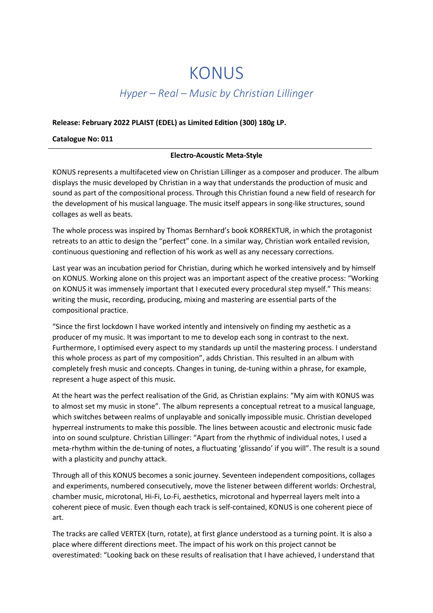## KONUS

## Hyper – Real – Music by Christian Lillinger

## Release: February 2022 PLAIST (EDEL) as Limited Edition (300) 180g LP.

Catalogue No: 011

## Electro-Acoustic Meta-Style

KONUS represents a multifaceted view on Christian Lillinger as a composer and producer. The album displays the music developed by Christian in a way that understands the production of music and sound as part of the compositional process. Through this Christian found a new field of research for the development of his musical language. The music itself appears in song-like structures, sound collages as well as beats.

The whole process was inspired by Thomas Bernhard's book KORREKTUR, in which the protagonist retreats to an attic to design the "perfect" cone. In a similar way, Christian work entailed revision, continuous questioning and reflection of his work as well as any necessary corrections.

Last year was an incubation period for Christian, during which he worked intensively and by himself on KONUS. Working alone on this project was an important aspect of the creative process: "Working on KONUS it was immensely important that I executed every procedural step myself." This means: writing the music, recording, producing, mixing and mastering are essential parts of the compositional practice.

"Since the first lockdown I have worked intently and intensively on finding my aesthetic as a producer of my music. It was important to me to develop each song in contrast to the next. Furthermore, I optimised every aspect to my standards up until the mastering process. I understand this whole process as part of my composition", adds Christian. This resulted in an album with completely fresh music and concepts. Changes in tuning, de-tuning within a phrase, for example, represent a huge aspect of this music.

At the heart was the perfect realisation of the Grid, as Christian explains: "My aim with KONUS was to almost set my music in stone". The album represents a conceptual retreat to a musical language, which switches between realms of unplayable and sonically impossible music. Christian developed hyperreal instruments to make this possible. The lines between acoustic and electronic music fade into on sound sculpture. Christian Lillinger: "Apart from the rhythmic of individual notes, I used a meta-rhythm within the de-tuning of notes, a fluctuating 'glissando' if you will". The result is a sound with a plasticity and punchy attack.

Through all of this KONUS becomes a sonic journey. Seventeen independent compositions, collages and experiments, numbered consecutively, move the listener between different worlds: Orchestral, chamber music, microtonal, Hi-Fi, Lo-Fi, aesthetics, microtonal and hyperreal layers melt into a coherent piece of music. Even though each track is self-contained, KONUS is one coherent piece of art.

The tracks are called VERTEX (turn, rotate), at first glance understood as a turning point. It is also a place where different directions meet. The impact of his work on this project cannot be overestimated: "Looking back on these results of realisation that I have achieved, I understand that